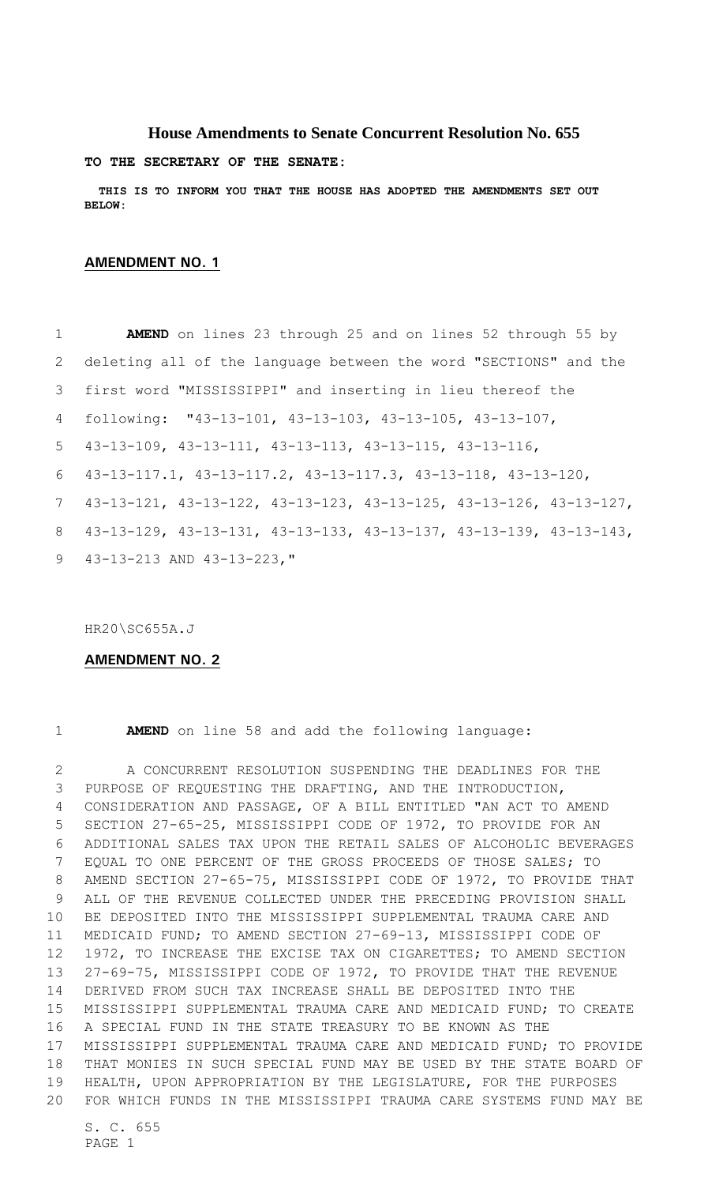## **House Amendments to Senate Concurrent Resolution No. 655**

**TO THE SECRETARY OF THE SENATE:**

 **THIS IS TO INFORM YOU THAT THE HOUSE HAS ADOPTED THE AMENDMENTS SET OUT BELOW:**

## **AMENDMENT NO. 1**

 **AMEND** on lines 23 through 25 and on lines 52 through 55 by deleting all of the language between the word "SECTIONS" and the first word "MISSISSIPPI" and inserting in lieu thereof the following: "43-13-101, 43-13-103, 43-13-105, 43-13-107, 43-13-109, 43-13-111, 43-13-113, 43-13-115, 43-13-116, 43-13-117.1, 43-13-117.2, 43-13-117.3, 43-13-118, 43-13-120, 43-13-121, 43-13-122, 43-13-123, 43-13-125, 43-13-126, 43-13-127, 43-13-129, 43-13-131, 43-13-133, 43-13-137, 43-13-139, 43-13-143, 43-13-213 AND 43-13-223,"

HR20\SC655A.J

## **AMENDMENT NO. 2**

## **AMEND** on line 58 and add the following language:

 A CONCURRENT RESOLUTION SUSPENDING THE DEADLINES FOR THE PURPOSE OF REQUESTING THE DRAFTING, AND THE INTRODUCTION, CONSIDERATION AND PASSAGE, OF A BILL ENTITLED "AN ACT TO AMEND SECTION 27-65-25, MISSISSIPPI CODE OF 1972, TO PROVIDE FOR AN ADDITIONAL SALES TAX UPON THE RETAIL SALES OF ALCOHOLIC BEVERAGES EQUAL TO ONE PERCENT OF THE GROSS PROCEEDS OF THOSE SALES; TO AMEND SECTION 27-65-75, MISSISSIPPI CODE OF 1972, TO PROVIDE THAT ALL OF THE REVENUE COLLECTED UNDER THE PRECEDING PROVISION SHALL BE DEPOSITED INTO THE MISSISSIPPI SUPPLEMENTAL TRAUMA CARE AND MEDICAID FUND; TO AMEND SECTION 27-69-13, MISSISSIPPI CODE OF 1972, TO INCREASE THE EXCISE TAX ON CIGARETTES; TO AMEND SECTION 27-69-75, MISSISSIPPI CODE OF 1972, TO PROVIDE THAT THE REVENUE DERIVED FROM SUCH TAX INCREASE SHALL BE DEPOSITED INTO THE MISSISSIPPI SUPPLEMENTAL TRAUMA CARE AND MEDICAID FUND; TO CREATE A SPECIAL FUND IN THE STATE TREASURY TO BE KNOWN AS THE MISSISSIPPI SUPPLEMENTAL TRAUMA CARE AND MEDICAID FUND; TO PROVIDE THAT MONIES IN SUCH SPECIAL FUND MAY BE USED BY THE STATE BOARD OF HEALTH, UPON APPROPRIATION BY THE LEGISLATURE, FOR THE PURPOSES FOR WHICH FUNDS IN THE MISSISSIPPI TRAUMA CARE SYSTEMS FUND MAY BE

S. C. 655 PAGE 1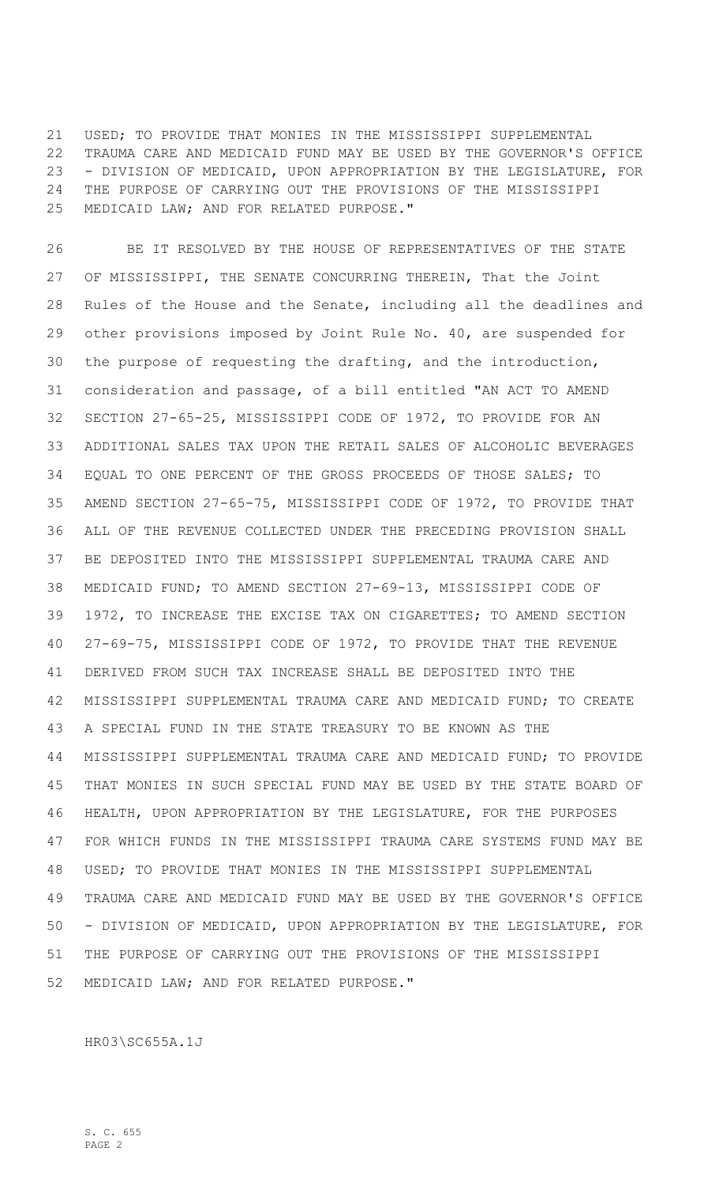USED; TO PROVIDE THAT MONIES IN THE MISSISSIPPI SUPPLEMENTAL TRAUMA CARE AND MEDICAID FUND MAY BE USED BY THE GOVERNOR'S OFFICE - DIVISION OF MEDICAID, UPON APPROPRIATION BY THE LEGISLATURE, FOR THE PURPOSE OF CARRYING OUT THE PROVISIONS OF THE MISSISSIPPI MEDICAID LAW; AND FOR RELATED PURPOSE."

 BE IT RESOLVED BY THE HOUSE OF REPRESENTATIVES OF THE STATE OF MISSISSIPPI, THE SENATE CONCURRING THEREIN, That the Joint Rules of the House and the Senate, including all the deadlines and other provisions imposed by Joint Rule No. 40, are suspended for the purpose of requesting the drafting, and the introduction, consideration and passage, of a bill entitled "AN ACT TO AMEND SECTION 27-65-25, MISSISSIPPI CODE OF 1972, TO PROVIDE FOR AN ADDITIONAL SALES TAX UPON THE RETAIL SALES OF ALCOHOLIC BEVERAGES EQUAL TO ONE PERCENT OF THE GROSS PROCEEDS OF THOSE SALES; TO AMEND SECTION 27-65-75, MISSISSIPPI CODE OF 1972, TO PROVIDE THAT ALL OF THE REVENUE COLLECTED UNDER THE PRECEDING PROVISION SHALL BE DEPOSITED INTO THE MISSISSIPPI SUPPLEMENTAL TRAUMA CARE AND MEDICAID FUND; TO AMEND SECTION 27-69-13, MISSISSIPPI CODE OF 1972, TO INCREASE THE EXCISE TAX ON CIGARETTES; TO AMEND SECTION 27-69-75, MISSISSIPPI CODE OF 1972, TO PROVIDE THAT THE REVENUE DERIVED FROM SUCH TAX INCREASE SHALL BE DEPOSITED INTO THE MISSISSIPPI SUPPLEMENTAL TRAUMA CARE AND MEDICAID FUND; TO CREATE A SPECIAL FUND IN THE STATE TREASURY TO BE KNOWN AS THE MISSISSIPPI SUPPLEMENTAL TRAUMA CARE AND MEDICAID FUND; TO PROVIDE THAT MONIES IN SUCH SPECIAL FUND MAY BE USED BY THE STATE BOARD OF HEALTH, UPON APPROPRIATION BY THE LEGISLATURE, FOR THE PURPOSES FOR WHICH FUNDS IN THE MISSISSIPPI TRAUMA CARE SYSTEMS FUND MAY BE USED; TO PROVIDE THAT MONIES IN THE MISSISSIPPI SUPPLEMENTAL TRAUMA CARE AND MEDICAID FUND MAY BE USED BY THE GOVERNOR'S OFFICE - DIVISION OF MEDICAID, UPON APPROPRIATION BY THE LEGISLATURE, FOR THE PURPOSE OF CARRYING OUT THE PROVISIONS OF THE MISSISSIPPI MEDICAID LAW; AND FOR RELATED PURPOSE."

HR03\SC655A.1J